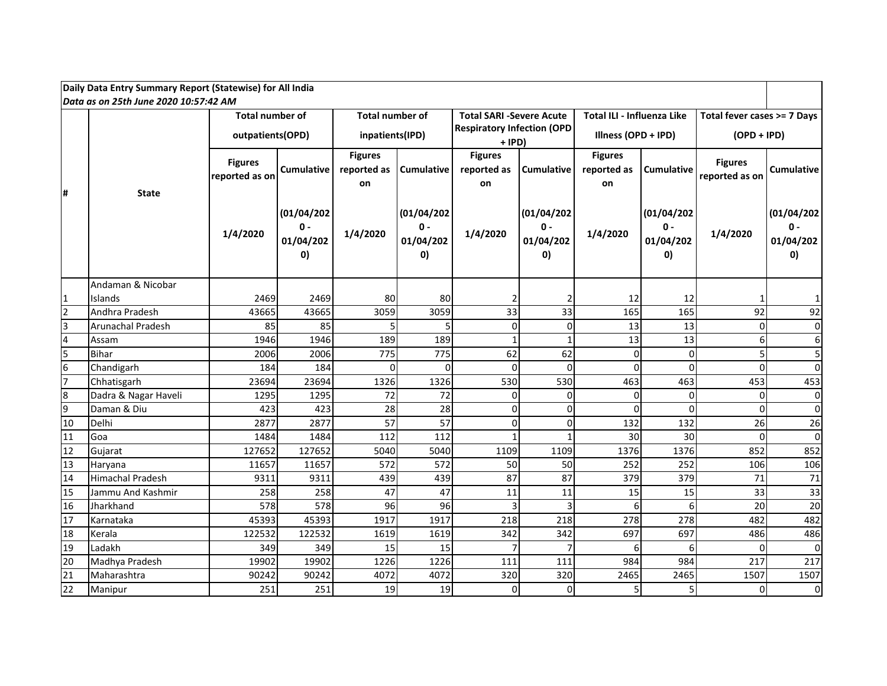| Daily Data Entry Summary Report (Statewise) for All India                                                                                                  |                         |                                  |                                                  |                                     |                                                   |                                     |                                             |                                     |                                         |                                  |                                         |  |  |  |
|------------------------------------------------------------------------------------------------------------------------------------------------------------|-------------------------|----------------------------------|--------------------------------------------------|-------------------------------------|---------------------------------------------------|-------------------------------------|---------------------------------------------|-------------------------------------|-----------------------------------------|----------------------------------|-----------------------------------------|--|--|--|
| Data as on 25th June 2020 10:57:42 AM<br><b>Total number of</b><br><b>Total number of</b><br>Total ILI - Influenza Like<br><b>Total SARI -Severe Acute</b> |                         |                                  |                                                  |                                     |                                                   |                                     |                                             |                                     |                                         |                                  |                                         |  |  |  |
|                                                                                                                                                            |                         |                                  |                                                  |                                     |                                                   |                                     |                                             |                                     |                                         | Total fever cases >= 7 Days      |                                         |  |  |  |
|                                                                                                                                                            |                         |                                  | outpatients(OPD)                                 |                                     | inpatients(IPD)                                   |                                     | <b>Respiratory Infection (OPD</b><br>+ IPD) |                                     | Illness (OPD + IPD)                     | $(OPD + IPD)$                    |                                         |  |  |  |
| #                                                                                                                                                          | <b>State</b>            | <b>Figures</b><br>reported as on | <b>Cumulative</b>                                | <b>Figures</b><br>reported as<br>on | Cumulative                                        | <b>Figures</b><br>reported as<br>on | Cumulative                                  | <b>Figures</b><br>reported as<br>on | <b>Cumulative</b>                       | <b>Figures</b><br>reported as on | Cumulative                              |  |  |  |
|                                                                                                                                                            |                         | 1/4/2020                         | (01/04/202)<br>$\mathbf{0}$ -<br>01/04/202<br>0) | 1/4/2020                            | (01/04/202)<br>$0 -$<br>01/04/202<br>$\mathbf{0}$ | 1/4/2020                            | (01/04/202)<br>$0 -$<br>01/04/202<br>O)     | 1/4/2020                            | (01/04/202)<br>$0 -$<br>01/04/202<br>O) | 1/4/2020                         | (01/04/202)<br>$0 -$<br>01/04/202<br>O) |  |  |  |
|                                                                                                                                                            | Andaman & Nicobar       |                                  |                                                  |                                     |                                                   |                                     |                                             |                                     |                                         |                                  |                                         |  |  |  |
| 1                                                                                                                                                          | Islands                 | 2469                             | 2469                                             | 80                                  | 80                                                |                                     |                                             | 12                                  | 12                                      |                                  | $\mathbf{1}$                            |  |  |  |
| $\mathfrak{p}$                                                                                                                                             | Andhra Pradesh          | 43665                            | 43665                                            | 3059                                | 3059                                              | 33                                  | 33                                          | 165                                 | 165                                     | 92                               | 92                                      |  |  |  |
| 3                                                                                                                                                          | Arunachal Pradesh       | 85                               | 85                                               | 5                                   |                                                   | $\mathbf 0$                         | $\Omega$                                    | 13                                  | 13                                      | $\Omega$                         | $\overline{0}$                          |  |  |  |
| 4                                                                                                                                                          | Assam                   | 1946                             | 1946                                             | 189                                 | 189                                               | $\mathbf{1}$                        | $\mathbf{1}$                                | 13                                  | 13                                      |                                  | $6 \mid$                                |  |  |  |
| 5                                                                                                                                                          | Bihar                   | 2006                             | 2006                                             | 775                                 | 775                                               | 62                                  | 62                                          | 0                                   | $\Omega$                                |                                  | 5                                       |  |  |  |
| 6                                                                                                                                                          | Chandigarh              | 184                              | 184                                              | 0                                   | $\Omega$                                          | $\mathbf 0$                         | $\Omega$                                    | $\Omega$                            | $\Omega$                                | <sup>0</sup>                     | $\overline{0}$                          |  |  |  |
| $\overline{7}$                                                                                                                                             | Chhatisgarh             | 23694                            | 23694                                            | 1326                                | 1326                                              | 530                                 | 530                                         | 463                                 | 463                                     | 453                              | 453                                     |  |  |  |
| $\bf{8}$                                                                                                                                                   | Dadra & Nagar Haveli    | 1295                             | 1295                                             | 72                                  | 72                                                | $\mathbf 0$                         | $\Omega$                                    | 0                                   | $\Omega$                                | 0                                | $\overline{0}$                          |  |  |  |
| 9                                                                                                                                                          | Daman & Diu             | 423                              | 423                                              | 28                                  | 28                                                | $\mathbf 0$                         | $\Omega$                                    | $\Omega$                            | $\Omega$                                | <sup>0</sup>                     | $\overline{0}$                          |  |  |  |
| 10                                                                                                                                                         | Delhi                   | 2877                             | 2877                                             | 57                                  | 57                                                | 0                                   | $\Omega$                                    | 132                                 | 132                                     | 26                               | 26                                      |  |  |  |
| 11                                                                                                                                                         | Goa                     | 1484                             | 1484                                             | 112                                 | 112                                               |                                     |                                             | 30                                  | 30                                      | $\Omega$                         | $\overline{0}$                          |  |  |  |
| 12                                                                                                                                                         | Gujarat                 | 127652                           | 127652                                           | 5040                                | 5040                                              | 1109                                | 1109                                        | 1376                                | 1376                                    | 852                              | 852                                     |  |  |  |
| 13                                                                                                                                                         | Haryana                 | 11657                            | 11657                                            | 572                                 | 572                                               | 50                                  | 50                                          | 252                                 | 252                                     | 106                              | 106                                     |  |  |  |
| 14                                                                                                                                                         | <b>Himachal Pradesh</b> | 9311                             | 9311                                             | 439                                 | 439                                               | 87                                  | 87                                          | 379                                 | 379                                     | 71                               | 71                                      |  |  |  |
| 15                                                                                                                                                         | Jammu And Kashmir       | 258                              | 258                                              | 47                                  | 47                                                | 11                                  | 11                                          | 15                                  | 15                                      | 33                               | 33                                      |  |  |  |
| 16                                                                                                                                                         | Jharkhand               | 578                              | 578                                              | 96                                  | 96                                                | 3                                   | 3                                           | 6                                   | 6                                       | 20                               | 20                                      |  |  |  |
| 17                                                                                                                                                         | Karnataka               | 45393                            | 45393                                            | 1917                                | 1917                                              | 218                                 | 218                                         | 278                                 | 278                                     | 482                              | 482                                     |  |  |  |
| 18                                                                                                                                                         | Kerala                  | 122532                           | 122532                                           | 1619                                | 1619                                              | 342                                 | 342                                         | 697                                 | 697                                     | 486                              | 486                                     |  |  |  |
| 19                                                                                                                                                         | Ladakh                  | 349                              | 349                                              | 15                                  | 15                                                |                                     |                                             | 6                                   | 6                                       | n                                | $\overline{0}$                          |  |  |  |
| $\overline{20}$                                                                                                                                            | Madhya Pradesh          | 19902                            | 19902                                            | 1226                                | 1226                                              | 111                                 | 111                                         | 984                                 | 984                                     | 217                              | 217                                     |  |  |  |
| $\overline{21}$                                                                                                                                            | Maharashtra             | 90242                            | 90242                                            | 4072                                | 4072                                              | 320                                 | 320                                         | 2465                                | 2465                                    | 1507                             | 1507                                    |  |  |  |
| $\overline{22}$                                                                                                                                            | Manipur                 | 251                              | 251                                              | 19                                  | 19                                                | 0                                   | $\overline{0}$                              | 5                                   |                                         |                                  | $\overline{0}$                          |  |  |  |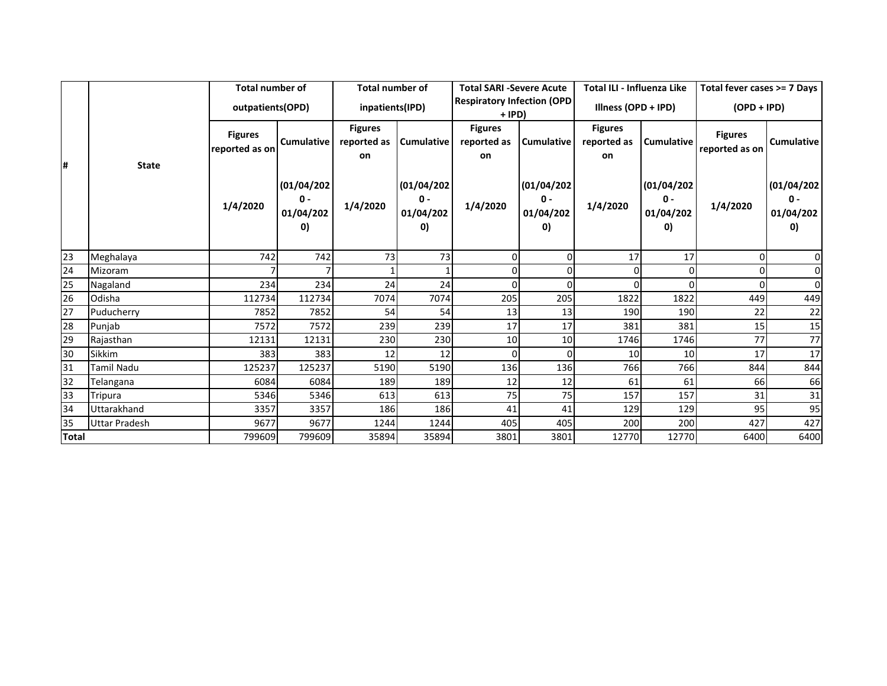|              |                      | <b>Total number of</b>           |                                                            | <b>Total number of</b>              |                                                  | <b>Total SARI -Severe Acute</b>             |                                                  | <b>Total ILI - Influenza Like</b>   |                                                                 | Total fever cases >= 7 Days      |                                                            |
|--------------|----------------------|----------------------------------|------------------------------------------------------------|-------------------------------------|--------------------------------------------------|---------------------------------------------|--------------------------------------------------|-------------------------------------|-----------------------------------------------------------------|----------------------------------|------------------------------------------------------------|
|              |                      | outpatients (OPD)                |                                                            | inpatients(IPD)                     |                                                  | <b>Respiratory Infection (OPD</b><br>+ IPD) |                                                  | Illness (OPD + IPD)                 |                                                                 | $(OPD + IPD)$                    |                                                            |
| l#           | <b>State</b>         | <b>Figures</b><br>reported as on | Cumulative                                                 | <b>Figures</b><br>reported as<br>on | <b>Cumulative</b>                                | <b>Figures</b><br>reported as<br>on         | <b>Cumulative</b>                                | <b>Figures</b><br>reported as<br>on | <b>Cumulative</b>                                               | <b>Figures</b><br>reported as on | Cumulative                                                 |
|              |                      | 1/4/2020                         | (01/04/202)<br>$\mathbf{0}$ -<br>01/04/202<br>$\mathbf{0}$ | 1/4/2020                            | (01/04/202)<br>$\mathbf{0}$ -<br>01/04/202<br>O) | 1/4/2020                                    | (01/04/202)<br>$\mathbf{0}$ -<br>01/04/202<br>O) | 1/4/2020                            | (01/04/202)<br>$\mathbf{0}$ -<br>01/04/202<br>$\vert 0 \rangle$ | 1/4/2020                         | (01/04/202)<br>$\mathbf{0}$ -<br>01/04/202<br>$\mathbf{0}$ |
| 23           | Meghalaya            | 742                              | 742                                                        | 73                                  | 73                                               | 0                                           | ი                                                | 17                                  | 17                                                              |                                  | 01                                                         |
| 24           | Mizoram              |                                  |                                                            |                                     |                                                  | $\Omega$                                    |                                                  | $\Omega$                            |                                                                 |                                  | $\Omega$                                                   |
| 25           | Nagaland             | 234                              | 234                                                        | 24                                  | 24                                               | 0                                           |                                                  | 0                                   |                                                                 |                                  | $\overline{0}$                                             |
| 26           | Odisha               | 112734                           | 112734                                                     | 7074                                | 7074                                             | 205                                         | 205                                              | 1822                                | 1822                                                            | 449                              | 449                                                        |
| 27           | Puducherry           | 7852                             | 7852                                                       | 54                                  | 54                                               | 13                                          | 13                                               | 190                                 | 190                                                             | 22                               | 22                                                         |
| 28           | Puniab               | 7572                             | 7572                                                       | 239                                 | 239                                              | 17                                          | 17                                               | 381                                 | 381                                                             | 15                               | 15                                                         |
| 29           | Rajasthan            | 12131                            | 12131                                                      | 230                                 | 230                                              | 10                                          | 10                                               | 1746                                | 1746                                                            | 77                               | 77                                                         |
| 30           | <b>Sikkim</b>        | 383                              | 383                                                        | 12                                  | 12                                               | $\Omega$                                    | ი                                                | 10 <sup>1</sup>                     | 10 <sup>1</sup>                                                 | 17                               | 17                                                         |
| 31           | <b>Tamil Nadu</b>    | 125237                           | 125237                                                     | 5190                                | 5190                                             | 136                                         | 136                                              | 766                                 | 766                                                             | 844                              | 844                                                        |
| 32           | Telangana            | 6084                             | 6084                                                       | 189                                 | 189                                              | 12                                          | 12                                               | 61                                  | 61                                                              | 66                               | 66                                                         |
| 33           | Tripura              | 5346                             | 5346                                                       | 613                                 | 613                                              | 75                                          | 75                                               | 157                                 | 157                                                             | 31                               | 31                                                         |
| 34           | Uttarakhand          | 3357                             | 3357                                                       | 186                                 | 186                                              | 41                                          | 41                                               | 129                                 | 129                                                             | 95                               | 95                                                         |
| 35           | <b>Uttar Pradesh</b> | 9677                             | 9677                                                       | 1244                                | 1244                                             | 405                                         | 405                                              | 200                                 | 200                                                             | 427                              | 427                                                        |
| <b>Total</b> |                      | 799609                           | 799609                                                     | 35894                               | 35894                                            | 3801                                        | 3801                                             | 12770                               | 12770                                                           | 6400                             | 6400                                                       |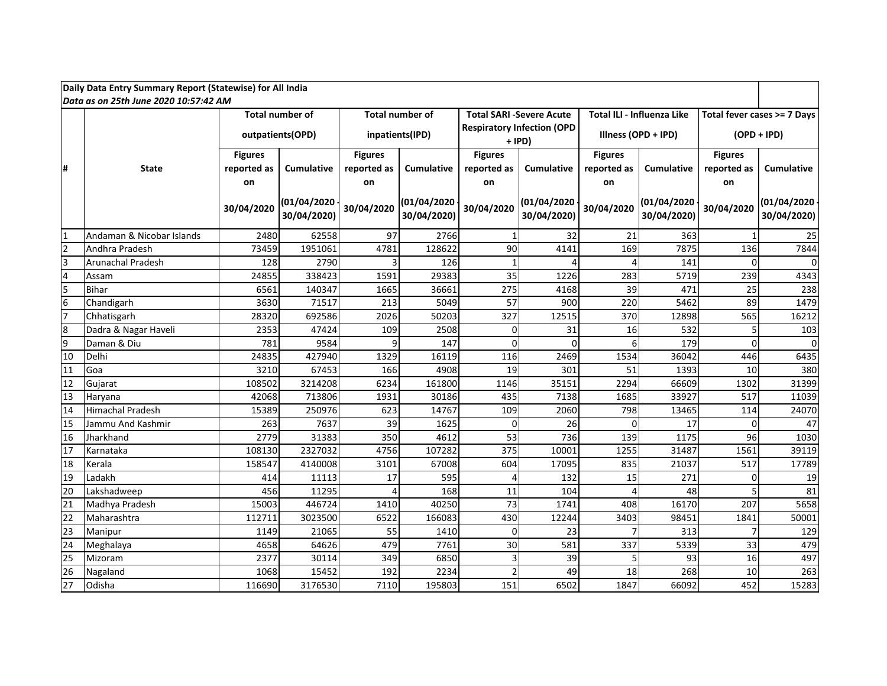| Daily Data Entry Summary Report (Statewise) for All India |                                        |                        |                            |                        |                            |                                             |                            |                     |                            |                             |                            |  |  |
|-----------------------------------------------------------|----------------------------------------|------------------------|----------------------------|------------------------|----------------------------|---------------------------------------------|----------------------------|---------------------|----------------------------|-----------------------------|----------------------------|--|--|
|                                                           | lData as on 25th June 2020 10:57:42 AM |                        |                            |                        |                            |                                             |                            |                     |                            |                             |                            |  |  |
|                                                           |                                        | <b>Total number of</b> |                            | <b>Total number of</b> |                            | <b>Total SARI -Severe Acute</b>             |                            |                     | Total ILI - Influenza Like | Total fever cases >= 7 Days |                            |  |  |
|                                                           |                                        |                        | outpatients(OPD)           |                        | inpatients(IPD)            | <b>Respiratory Infection (OPD</b><br>+ IPD) |                            | Illness (OPD + IPD) |                            | $(OPD + IPD)$               |                            |  |  |
|                                                           |                                        | <b>Figures</b>         |                            | <b>Figures</b>         |                            | <b>Figures</b>                              |                            | <b>Figures</b>      |                            | <b>Figures</b>              |                            |  |  |
| l#                                                        | State                                  | reported as            | <b>Cumulative</b>          | reported as            | <b>Cumulative</b>          | reported as                                 | <b>Cumulative</b>          | reported as         | <b>Cumulative</b>          | reported as                 | Cumulative                 |  |  |
|                                                           |                                        | on                     |                            | on                     |                            | on                                          |                            | on                  |                            | on                          |                            |  |  |
|                                                           |                                        | 30/04/2020             | (01/04/2020<br>30/04/2020) | 30/04/2020             | (01/04/2020<br>30/04/2020) | 30/04/2020                                  | (01/04/2020<br>30/04/2020) | 30/04/2020          | (01/04/2020<br>30/04/2020) | 30/04/2020                  | (01/04/2020<br>30/04/2020) |  |  |
| $\overline{1}$                                            | Andaman & Nicobar Islands              | 2480                   | 62558                      | 97                     | 2766                       | 1                                           | 32                         | 21                  | 363                        |                             | 25                         |  |  |
| $\overline{2}$                                            | Andhra Pradesh                         | 73459                  | 1951061                    | 4781                   | 128622                     | 90                                          | 4141                       | 169                 | 7875                       | 136                         | 7844                       |  |  |
| 3                                                         | Arunachal Pradesh                      | 128                    | 2790                       | 3                      | 126                        | $\mathbf{1}$                                | $\Lambda$                  | 4                   | 141                        | $\Omega$                    |                            |  |  |
| $\overline{4}$                                            | Assam                                  | 24855                  | 338423                     | 1591                   | 29383                      | 35                                          | 1226                       | 283                 | 5719                       | 239                         | 4343                       |  |  |
| 5                                                         | Bihar                                  | 6561                   | 140347                     | 1665                   | 36661                      | 275                                         | 4168                       | 39                  | 471                        | 25                          | 238                        |  |  |
| $\boldsymbol{6}$                                          | Chandigarh                             | 3630                   | 71517                      | 213                    | 5049                       | 57                                          | 900                        | 220                 | 5462                       | 89                          | 1479                       |  |  |
| 7                                                         | Chhatisgarh                            | 28320                  | 692586                     | 2026                   | 50203                      | 327                                         | 12515                      | 370                 | 12898                      | 565                         | 16212                      |  |  |
| 8                                                         | Dadra & Nagar Haveli                   | 2353                   | 47424                      | 109                    | 2508                       | $\mathbf 0$                                 | 31                         | 16                  | 532                        | 5                           | 103                        |  |  |
| 9                                                         | Daman & Diu                            | 781                    | 9584                       | $\overline{9}$         | 147                        | $\Omega$                                    | $\mathbf 0$                | 6                   | 179                        | $\Omega$                    | $\Omega$                   |  |  |
| 10                                                        | Delhi                                  | 24835                  | 427940                     | 1329                   | 16119                      | 116                                         | 2469                       | 1534                | 36042                      | 446                         | 6435                       |  |  |
| 11                                                        | Goa                                    | 3210                   | 67453                      | 166                    | 4908                       | 19                                          | 301                        | 51                  | 1393                       | 10                          | 380                        |  |  |
| 12                                                        | Gujarat                                | 108502                 | 3214208                    | 6234                   | 161800                     | 1146                                        | 35151                      | 2294                | 66609                      | 1302                        | 31399                      |  |  |
| 13                                                        | Haryana                                | 42068                  | 713806                     | 1931                   | 30186                      | 435                                         | 7138                       | 1685                | 33927                      | 517                         | 11039                      |  |  |
| 14                                                        | <b>Himachal Pradesh</b>                | 15389                  | 250976                     | 623                    | 14767                      | 109                                         | 2060                       | 798                 | 13465                      | 114                         | 24070                      |  |  |
| 15                                                        | Jammu And Kashmir                      | 263                    | 7637                       | 39                     | 1625                       | $\mathbf 0$                                 | 26                         | 0                   | 17                         | $\Omega$                    | 47                         |  |  |
| 16                                                        | Jharkhand                              | 2779                   | 31383                      | 350                    | 4612                       | 53                                          | 736                        | 139                 | 1175                       | 96                          | 1030                       |  |  |
| 17                                                        | Karnataka                              | 108130                 | 2327032                    | 4756                   | 107282                     | 375                                         | 10001                      | 1255                | 31487                      | 1561                        | 39119                      |  |  |
| 18                                                        | Kerala                                 | 158547                 | 4140008                    | 3101                   | 67008                      | 604                                         | 17095                      | 835                 | 21037                      | 517                         | 17789                      |  |  |
| 19                                                        | Ladakh                                 | 414                    | 11113                      | 17                     | 595                        | $\overline{4}$                              | 132                        | 15                  | 271                        | $\mathbf 0$                 | 19                         |  |  |
| 20                                                        | Lakshadweep                            | 456                    | 11295                      | $\Delta$               | 168                        | 11                                          | 104                        | 4                   | 48                         | 5                           | 81                         |  |  |
| 21                                                        | Madhya Pradesh                         | 15003                  | 446724                     | 1410                   | 40250                      | 73                                          | 1741                       | 408                 | 16170                      | 207                         | 5658                       |  |  |
| 22                                                        | Maharashtra                            | 112711                 | 3023500                    | 6522                   | 166083                     | 430                                         | 12244                      | 3403                | 98451                      | 1841                        | 50001                      |  |  |
| 23                                                        | Manipur                                | 1149                   | 21065                      | 55                     | 1410                       | $\mathbf 0$                                 | 23                         | $\overline{7}$      | 313                        | $\overline{7}$              | 129                        |  |  |
| 24                                                        | Meghalaya                              | 4658                   | 64626                      | 479                    | 7761                       | 30                                          | 581                        | 337                 | 5339                       | 33                          | 479                        |  |  |
| 25                                                        | Mizoram                                | 2377                   | 30114                      | 349                    | 6850                       | $\overline{3}$                              | 39                         | 5                   | 93                         | 16                          | 497                        |  |  |
| 26                                                        | Nagaland                               | 1068                   | 15452                      | 192                    | 2234                       | $\mathcal{P}$                               | 49                         | 18                  | 268                        | 10                          | 263                        |  |  |
| 27                                                        | Odisha                                 | 116690                 | 3176530                    | 7110                   | 195803                     | 151                                         | 6502                       | 1847                | 66092                      | 452                         | 15283                      |  |  |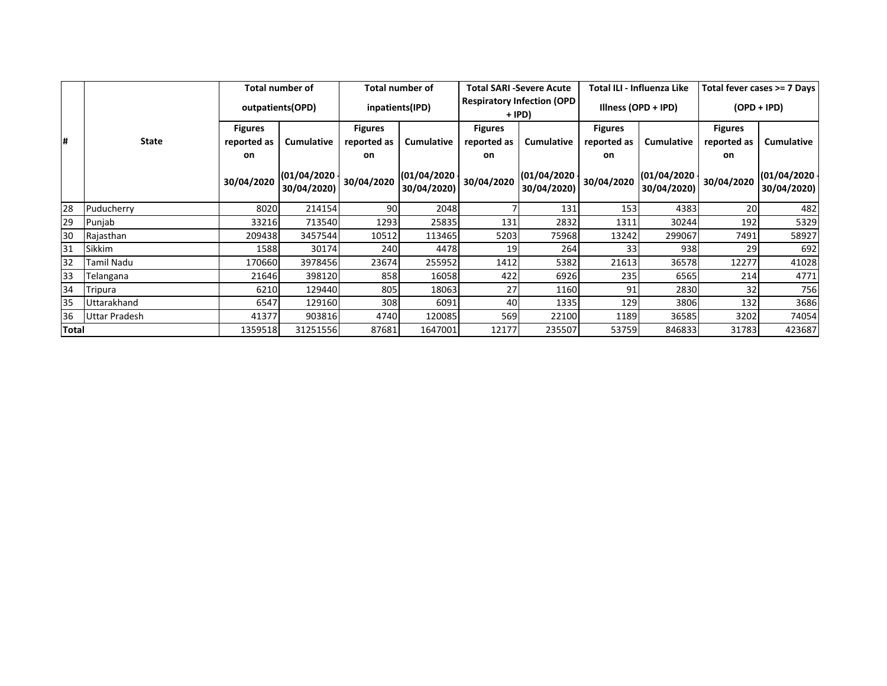|       |               | Total number of<br>outpatients (OPD) |                                | <b>Total number of</b><br>inpatients(IPD) |                                    | <b>Total SARI -Severe Acute</b><br><b>Respiratory Infection (OPD</b><br>+ IPD) |                                                                   | Total ILI - Influenza Like<br>Illness (OPD + IPD) |                                | Total fever cases >= 7 Days |                             |
|-------|---------------|--------------------------------------|--------------------------------|-------------------------------------------|------------------------------------|--------------------------------------------------------------------------------|-------------------------------------------------------------------|---------------------------------------------------|--------------------------------|-----------------------------|-----------------------------|
|       |               |                                      |                                |                                           |                                    |                                                                                |                                                                   |                                                   |                                | $(OPD + IPD)$               |                             |
|       |               | <b>Figures</b>                       |                                | <b>Figures</b>                            |                                    | <b>Figures</b>                                                                 |                                                                   | <b>Figures</b>                                    |                                | <b>Figures</b>              |                             |
| #     | <b>State</b>  | reported as                          | <b>Cumulative</b>              | reported as                               | <b>Cumulative</b>                  | reported as                                                                    | <b>Cumulative</b>                                                 | reported as                                       | <b>Cumulative</b>              | reported as                 | Cumulative                  |
|       |               | on                                   |                                | on                                        |                                    | on                                                                             |                                                                   | on                                                |                                | on                          |                             |
|       |               | 30/04/2020                           | $(01/04/2020 -$<br>30/04/2020) | 30/04/2020                                | $(01/04/2020 \cdot$<br>30/04/2020) |                                                                                | $\left  \frac{130}{04/2020} \right $ (01/04/2020 )<br>30/04/2020) | 30/04/2020                                        | $(01/04/2020 -$<br>30/04/2020) | 30/04/2020                  | (01/04/2020)<br>30/04/2020) |
| 28    | Puducherry    | 8020                                 | 214154                         | 90                                        | 2048                               |                                                                                | 131                                                               | 153                                               | 4383                           | 20                          | 482                         |
| 29    | Punjab        | 33216                                | 713540                         | 1293                                      | 25835                              | 131                                                                            | 2832                                                              | 1311                                              | 30244                          | 192                         | 5329                        |
| 30    | Rajasthan     | 209438                               | 3457544                        | 10512                                     | 113465                             | 5203                                                                           | 75968                                                             | 13242                                             | 299067                         | 7491                        | 58927                       |
| 31    | Sikkim        | 1588                                 | 30174                          | 240                                       | 4478                               | 19                                                                             | 264                                                               | 33                                                | 938                            | 29                          | 692                         |
| 32    | Tamil Nadu    | 170660                               | 3978456                        | 23674                                     | 255952                             | 1412                                                                           | 5382                                                              | 21613                                             | 36578                          | 12277                       | 41028                       |
| 33    | Telangana     | 21646                                | 398120                         | 858                                       | 16058                              | 422                                                                            | 6926                                                              | 235                                               | 6565                           | 214                         | 4771                        |
| 34    | Tripura       | 6210                                 | 129440                         | 805                                       | 18063                              | 27                                                                             | 1160                                                              | 91                                                | 2830                           | 32                          | 756                         |
| 35    | Uttarakhand   | 6547                                 | 129160                         | 308                                       | 6091                               | 40                                                                             | 1335                                                              | 129                                               | 3806                           | 132                         | 3686                        |
| 36    | Uttar Pradesh | 41377                                | 903816                         | 4740                                      | 120085                             | 569                                                                            | 22100                                                             | 1189                                              | 36585                          | 3202                        | 74054                       |
| Total |               | 1359518                              | 31251556                       | 87681                                     | 1647001                            | 12177                                                                          | 235507                                                            | 53759                                             | 846833                         | 31783                       | 423687                      |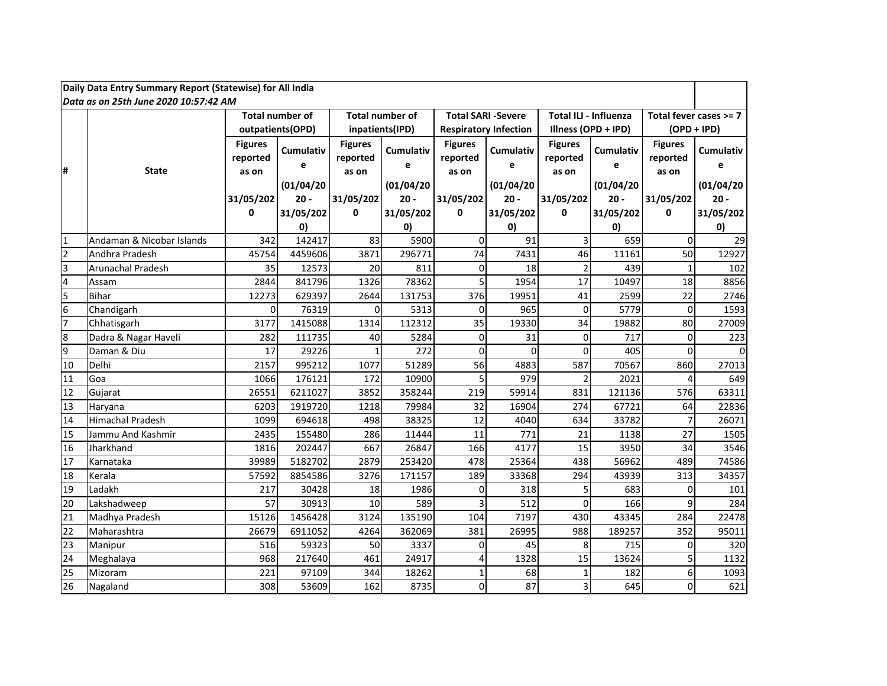|                                                                                                                                                 | Daily Data Entry Summary Report (Statewise) for All India |                                     |                       |                                     |                       |                                     |                              |                                     |                       |                                     |                        |  |  |  |
|-------------------------------------------------------------------------------------------------------------------------------------------------|-----------------------------------------------------------|-------------------------------------|-----------------------|-------------------------------------|-----------------------|-------------------------------------|------------------------------|-------------------------------------|-----------------------|-------------------------------------|------------------------|--|--|--|
| Data as on 25th June 2020 10:57:42 AM<br><b>Total number of</b><br><b>Total number of</b><br><b>Total SARI -Severe</b><br>Total ILI - Influenza |                                                           |                                     |                       |                                     |                       |                                     |                              |                                     |                       |                                     |                        |  |  |  |
|                                                                                                                                                 |                                                           |                                     |                       |                                     |                       |                                     |                              |                                     |                       |                                     | Total fever cases >= 7 |  |  |  |
|                                                                                                                                                 |                                                           |                                     | outpatients(OPD)      |                                     | inpatients(IPD)       |                                     | <b>Respiratory Infection</b> |                                     | Illness (OPD + IPD)   | $(OPD + IPD)$                       |                        |  |  |  |
| #                                                                                                                                               | <b>State</b>                                              | <b>Figures</b><br>reported<br>as on | <b>Cumulativ</b><br>e | <b>Figures</b><br>reported<br>as on | <b>Cumulativ</b><br>e | <b>Figures</b><br>reported<br>as on | <b>Cumulativ</b><br>e        | <b>Figures</b><br>reported<br>as on | <b>Cumulativ</b><br>e | <b>Figures</b><br>reported<br>as on | <b>Cumulativ</b><br>e  |  |  |  |
|                                                                                                                                                 |                                                           |                                     | (01/04/20)            |                                     | (01/04/20)            |                                     | (01/04/20)                   |                                     | (01/04/20)            |                                     | (01/04/20)             |  |  |  |
|                                                                                                                                                 |                                                           | 31/05/202                           | $20 -$                | 31/05/202                           | $20 -$                | 31/05/202                           | $20 -$                       | 31/05/202                           | $20 -$                | 31/05/202                           | $20 -$                 |  |  |  |
|                                                                                                                                                 |                                                           | 0                                   | 31/05/202             | 0                                   | 31/05/202             | $\mathbf{0}$                        | 31/05/202                    | 0                                   | 31/05/202             | 0                                   | 31/05/202              |  |  |  |
|                                                                                                                                                 |                                                           |                                     | 0)                    |                                     | $\mathbf{0}$          |                                     | 0)                           |                                     | 0)                    |                                     | $\mathbf{0}$           |  |  |  |
| $\mathbf{1}$                                                                                                                                    | Andaman & Nicobar Islands                                 | 342                                 | 142417                | 83                                  | 5900                  | $\Omega$                            | 91                           | 3                                   | 659                   | $\Omega$                            | 29                     |  |  |  |
| $\overline{2}$                                                                                                                                  | Andhra Pradesh                                            | 45754                               | 4459606               | 3871                                | 296771                | 74                                  | 7431                         | 46                                  | 11161                 | 50                                  | 12927                  |  |  |  |
| 3                                                                                                                                               | Arunachal Pradesh                                         | 35                                  | 12573                 | 20                                  | 811                   | $\Omega$                            | 18                           | $\overline{2}$                      | 439                   | $\mathbf{1}$                        | 102                    |  |  |  |
| $\overline{4}$                                                                                                                                  | Assam                                                     | 2844                                | 841796                | 1326                                | 78362                 | 5                                   | 1954                         | 17                                  | 10497                 | 18                                  | 8856                   |  |  |  |
| 5                                                                                                                                               | <b>Bihar</b>                                              | 12273                               | 629397                | 2644                                | 131753                | 376                                 | 19951                        | 41                                  | 2599                  | 22                                  | 2746                   |  |  |  |
| 6                                                                                                                                               | Chandigarh                                                | $\Omega$                            | 76319                 | 0                                   | 5313                  | $\Omega$                            | 965                          | $\Omega$                            | 5779                  | $\mathbf 0$                         | 1593                   |  |  |  |
| $\overline{7}$                                                                                                                                  | Chhatisgarh                                               | 3177                                | 1415088               | 1314                                | 112312                | 35                                  | 19330                        | 34                                  | 19882                 | 80                                  | 27009                  |  |  |  |
| 8                                                                                                                                               | Dadra & Nagar Haveli                                      | 282                                 | 111735                | 40                                  | 5284                  | $\Omega$                            | 31                           | 0                                   | 717                   | $\mathbf 0$                         | 223                    |  |  |  |
| $\overline{9}$                                                                                                                                  | Daman & Diu                                               | 17                                  | 29226                 | $\mathbf{1}$                        | 272                   | $\Omega$                            | $\Omega$                     | $\Omega$                            | 405                   | $\Omega$                            | $\Omega$               |  |  |  |
| 10                                                                                                                                              | Delhi                                                     | 2157                                | 995212                | 1077                                | 51289                 | 56                                  | 4883                         | 587                                 | 70567                 | 860                                 | 27013                  |  |  |  |
| 11                                                                                                                                              | Goa                                                       | 1066                                | 176121                | 172                                 | 10900                 | 5                                   | 979                          | $\overline{2}$                      | 2021                  | $\overline{4}$                      | 649                    |  |  |  |
| 12                                                                                                                                              | Gujarat                                                   | 26551                               | 6211027               | 3852                                | 358244                | 219                                 | 59914                        | 831                                 | 121136                | 576                                 | 63311                  |  |  |  |
| 13                                                                                                                                              | Haryana                                                   | 6203                                | 1919720               | 1218                                | 79984                 | 32                                  | 16904                        | 274                                 | 67721                 | 64                                  | 22836                  |  |  |  |
| 14                                                                                                                                              | <b>Himachal Pradesh</b>                                   | 1099                                | 694618                | 498                                 | 38325                 | 12                                  | 4040                         | 634                                 | 33782                 | $\overline{7}$                      | 26071                  |  |  |  |
| 15                                                                                                                                              | Jammu And Kashmir                                         | 2435                                | 155480                | 286                                 | 11444                 | 11                                  | 771                          | 21                                  | 1138                  | 27                                  | 1505                   |  |  |  |
| 16                                                                                                                                              | Jharkhand                                                 | 1816                                | 202447                | 667                                 | 26847                 | 166                                 | 4177                         | 15                                  | 3950                  | 34                                  | 3546                   |  |  |  |
| 17                                                                                                                                              | Karnataka                                                 | 39989                               | 5182702               | 2879                                | 253420                | 478                                 | 25364                        | 438                                 | 56962                 | 489                                 | 74586                  |  |  |  |
| 18                                                                                                                                              | Kerala                                                    | 57592                               | 8854586               | 3276                                | 171157                | 189                                 | 33368                        | 294                                 | 43939                 | 313                                 | 34357                  |  |  |  |
| 19                                                                                                                                              | Ladakh                                                    | 217                                 | 30428                 | 18                                  | 1986                  | $\Omega$                            | 318                          | 5                                   | 683                   | $\mathbf 0$                         | 101                    |  |  |  |
| 20                                                                                                                                              | Lakshadweep                                               | 57                                  | 30913                 | 10                                  | 589                   |                                     | 512                          | $\mathbf{0}$                        | 166                   | $\mathsf{q}$                        | 284                    |  |  |  |
| 21                                                                                                                                              | Madhya Pradesh                                            | 15126                               | 1456428               | 3124                                | 135190                | 104                                 | 7197                         | 430                                 | 43345                 | 284                                 | 22478                  |  |  |  |
| $\overline{22}$                                                                                                                                 | Maharashtra                                               | 26679                               | 6911052               | 4264                                | 362069                | 381                                 | 26995                        | 988                                 | 189257                | 352                                 | 95011                  |  |  |  |
| 23                                                                                                                                              | Manipur                                                   | 516                                 | 59323                 | 50                                  | 3337                  | $\Omega$                            | 45                           | 8                                   | 715                   | 0                                   | 320                    |  |  |  |
| 24                                                                                                                                              | Meghalaya                                                 | 968                                 | 217640                | 461                                 | 24917                 |                                     | 1328                         | 15                                  | 13624                 | 5                                   | 1132                   |  |  |  |
| 25                                                                                                                                              | Mizoram                                                   | 221                                 | 97109                 | 344                                 | 18262                 |                                     | 68                           | $\mathbf{1}$                        | 182                   | 6                                   | 1093                   |  |  |  |
| 26                                                                                                                                              | Nagaland                                                  | 308                                 | 53609                 | 162                                 | 8735                  | $\Omega$                            | 87                           | $\overline{3}$                      | 645                   | $\Omega$                            | 621                    |  |  |  |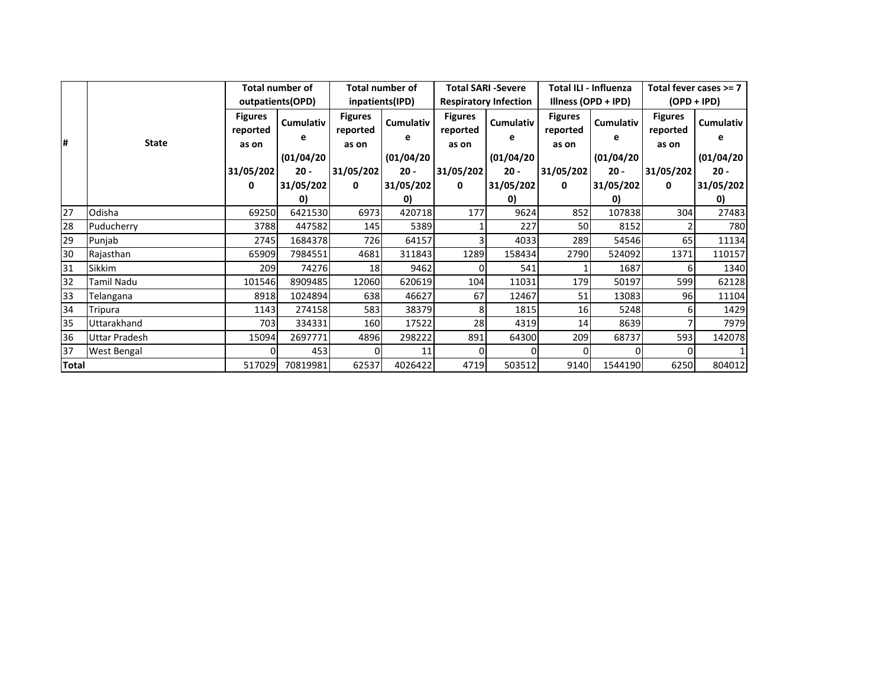|              |                   | <b>Total number of</b><br>outpatients(OPD) |                       |                                     | <b>Total number of</b><br>inpatients(IPD) |                                     | <b>Total SARI -Severe</b><br><b>Respiratory Infection</b> |                                     | <b>Total ILI - Influenza</b><br>Illness (OPD + IPD) | Total fever cases >= 7<br>$(OPD + IPD)$ |                      |
|--------------|-------------------|--------------------------------------------|-----------------------|-------------------------------------|-------------------------------------------|-------------------------------------|-----------------------------------------------------------|-------------------------------------|-----------------------------------------------------|-----------------------------------------|----------------------|
| l#           | <b>State</b>      | <b>Figures</b><br>reported<br>as on        | <b>Cumulativ</b><br>е | <b>Figures</b><br>reported<br>as on | <b>Cumulativ</b><br>е                     | <b>Figures</b><br>reported<br>as on | Cumulativ<br>e                                            | <b>Figures</b><br>reported<br>as on | Cumulativ<br>е                                      | <b>Figures</b><br>reported<br>as on     | Cumulativ            |
|              |                   | 31/05/202                                  | (01/04/20)<br>$20 -$  | 31/05/202                           | (01/04/20)<br>$20 -$                      | 31/05/202                           | (01/04/20)<br>$20 -$                                      | 31/05/202                           | (01/04/20)<br>$20 -$                                | 31/05/202                               | (01/04/20)<br>$20 -$ |
|              |                   | 0                                          | 31/05/202             | 0                                   | 31/05/202                                 | 0                                   | 31/05/202                                                 | 0                                   | 31/05/202                                           | 0                                       | 31/05/202            |
|              |                   |                                            | 0)                    |                                     | $\mathbf{0}$                              |                                     | 0)                                                        |                                     | 0)                                                  |                                         | $\mathbf{0}$         |
| 27           | Odisha            | 69250                                      | 6421530               | 6973                                | 420718                                    | 177                                 | 9624                                                      | 852                                 | 107838                                              | 304                                     | 27483                |
| 28           | Puducherry        | 3788                                       | 447582                | 145                                 | 5389                                      |                                     | 227                                                       | 50                                  | 8152                                                |                                         | 780                  |
| 29           | Punjab            | 2745                                       | 1684378               | 726                                 | 64157                                     |                                     | 4033                                                      | 289                                 | 54546                                               | 65                                      | 11134                |
| 30           | Rajasthan         | 65909                                      | 7984551               | 4681                                | 311843                                    | 1289                                | 158434                                                    | 2790                                | 524092                                              | 1371                                    | 110157               |
| 31           | <b>Sikkim</b>     | 209                                        | 74276                 | 18                                  | 9462                                      |                                     | 541                                                       |                                     | 1687                                                | 6                                       | 1340                 |
| 32           | <b>Tamil Nadu</b> | 101546                                     | 8909485               | 12060                               | 620619                                    | 104                                 | 11031                                                     | 179                                 | 50197                                               | 599                                     | 62128                |
| 33           | Telangana         | 8918                                       | 1024894               | 638                                 | 46627                                     | 67                                  | 12467                                                     | 51                                  | 13083                                               | 96                                      | 11104                |
| 34           | Tripura           | 1143                                       | 274158                | 583                                 | 38379                                     |                                     | 1815                                                      | 16                                  | 5248                                                | 6                                       | 1429                 |
| 35           | Uttarakhand       | 703                                        | 334331                | 160                                 | 17522                                     | 28                                  | 4319                                                      | 14                                  | 8639                                                |                                         | 7979                 |
| 36           | Uttar Pradesh     | 15094                                      | 2697771               | 4896                                | 298222                                    | 891                                 | 64300                                                     | 209                                 | 68737                                               | 593                                     | 142078               |
| 37           | West Bengal       |                                            | 453                   | 0                                   | 11                                        |                                     |                                                           |                                     |                                                     |                                         |                      |
| <b>Total</b> |                   | 517029                                     | 70819981              | 62537                               | 4026422                                   | 4719                                | 503512                                                    | 9140                                | 1544190                                             | 6250                                    | 804012               |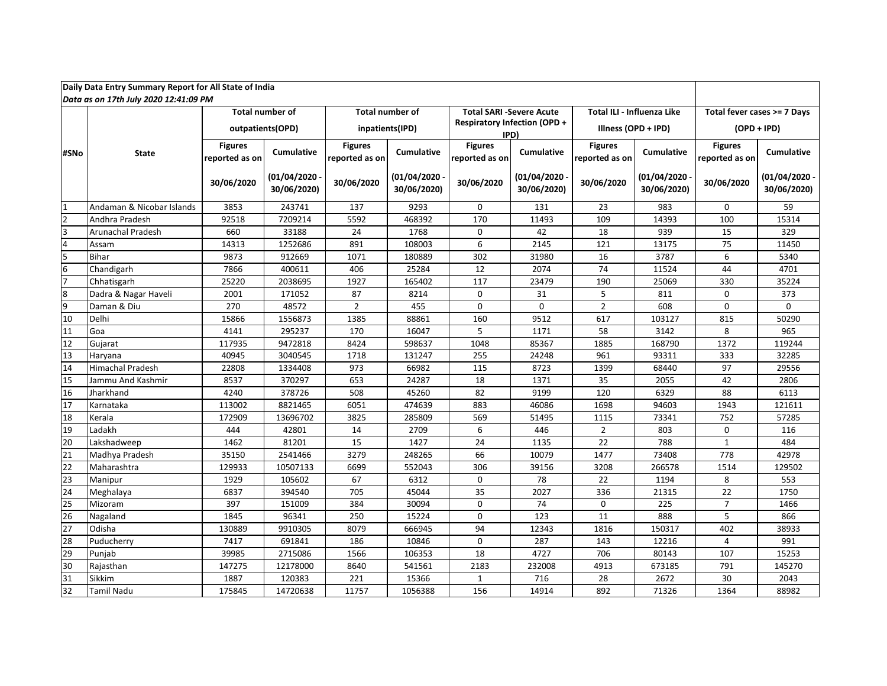|                         | Daily Data Entry Summary Report for All State of India |                                  |                             |                                  |                             |                                  |                                             |                                  |                                |                                  |                                |  |
|-------------------------|--------------------------------------------------------|----------------------------------|-----------------------------|----------------------------------|-----------------------------|----------------------------------|---------------------------------------------|----------------------------------|--------------------------------|----------------------------------|--------------------------------|--|
|                         | Data as on 17th July 2020 12:41:09 PM                  |                                  |                             |                                  |                             |                                  |                                             |                                  |                                |                                  |                                |  |
|                         |                                                        |                                  | <b>Total number of</b>      |                                  | <b>Total number of</b>      |                                  | <b>Total SARI -Severe Acute</b>             | Total ILI - Influenza Like       |                                |                                  | Total fever cases >= 7 Days    |  |
|                         |                                                        | outpatients(OPD)                 |                             | inpatients(IPD)                  |                             |                                  | <b>Respiratory Infection (OPD +</b><br>IPD) |                                  | Illness (OPD + IPD)            | $(OPD + IPD)$                    |                                |  |
| #SNo                    | <b>State</b>                                           | <b>Figures</b><br>reported as on | <b>Cumulative</b>           | <b>Figures</b><br>reported as on | <b>Cumulative</b>           | <b>Figures</b><br>reported as on | Cumulative                                  | <b>Figures</b><br>reported as on | <b>Cumulative</b>              | <b>Figures</b><br>reported as on | <b>Cumulative</b>              |  |
|                         |                                                        | 30/06/2020                       | (01/04/2020)<br>30/06/2020) | 30/06/2020                       | (01/04/2020)<br>30/06/2020) | 30/06/2020                       | $(01/04/2020 \cdot$<br>30/06/2020)          | 30/06/2020                       | $(01/04/2020 -$<br>30/06/2020) | 30/06/2020                       | $(01/04/2020 -$<br>30/06/2020) |  |
| $\overline{1}$          | Andaman & Nicobar Islands                              | 3853                             | 243741                      | 137                              | 9293                        | $\mathbf 0$                      | 131                                         | 23                               | 983                            | $\mathbf 0$                      | 59                             |  |
| $\overline{2}$          | Andhra Pradesh                                         | 92518                            | 7209214                     | 5592                             | 468392                      | 170                              | 11493                                       | 109                              | 14393                          | 100                              | 15314                          |  |
| $\overline{3}$          | Arunachal Pradesh                                      | 660                              | 33188                       | 24                               | 1768                        | $\mathbf{0}$                     | 42                                          | 18                               | 939                            | 15                               | 329                            |  |
| $\overline{4}$          | Assam                                                  | 14313                            | 1252686                     | 891                              | 108003                      | 6                                | 2145                                        | 121                              | 13175                          | 75                               | 11450                          |  |
| $\overline{\mathbf{5}}$ | <b>Bihar</b>                                           | 9873                             | 912669                      | 1071                             | 180889                      | 302                              | 31980                                       | 16                               | 3787                           | 6                                | 5340                           |  |
| $6\overline{6}$         | Chandigarh                                             | 7866                             | 400611                      | 406                              | 25284                       | 12                               | 2074                                        | 74                               | 11524                          | 44                               | 4701                           |  |
| $\overline{7}$          | Chhatisgarh                                            | 25220                            | 2038695                     | 1927                             | 165402                      | 117                              | 23479                                       | 190                              | 25069                          | 330                              | 35224                          |  |
| $\bf 8$                 | Dadra & Nagar Haveli                                   | 2001                             | 171052                      | 87                               | 8214                        | $\mathbf 0$                      | 31                                          | 5                                | 811                            | $\mathbf 0$                      | 373                            |  |
| $\overline{9}$          | Daman & Diu                                            | 270                              | 48572                       | $\overline{2}$                   | 455                         | $\Omega$                         | $\Omega$                                    | $\overline{2}$                   | 608                            | $\Omega$                         | $\Omega$                       |  |
| 10                      | Delhi                                                  | 15866                            | 1556873                     | 1385                             | 88861                       | 160                              | 9512                                        | 617                              | 103127                         | 815                              | 50290                          |  |
| 11                      | Goa                                                    | 4141                             | 295237                      | 170                              | 16047                       | 5                                | 1171                                        | 58                               | 3142                           | 8                                | 965                            |  |
| 12                      | Gujarat                                                | 117935                           | 9472818                     | 8424                             | 598637                      | 1048                             | 85367                                       | 1885                             | 168790                         | 1372                             | 119244                         |  |
| 13                      | Haryana                                                | 40945                            | 3040545                     | 1718                             | 131247                      | 255                              | 24248                                       | 961                              | 93311                          | 333                              | 32285                          |  |
| 14                      | <b>Himachal Pradesh</b>                                | 22808                            | 1334408                     | 973                              | 66982                       | 115                              | 8723                                        | 1399                             | 68440                          | $\overline{97}$                  | 29556                          |  |
| 15                      | Jammu And Kashmir                                      | 8537                             | 370297                      | 653                              | 24287                       | 18                               | 1371                                        | 35                               | 2055                           | 42                               | 2806                           |  |
| 16                      | Jharkhand                                              | 4240                             | 378726                      | 508                              | 45260                       | 82                               | 9199                                        | 120                              | 6329                           | 88                               | 6113                           |  |
| 17                      | Karnataka                                              | 113002                           | 8821465                     | 6051                             | 474639                      | 883                              | 46086                                       | 1698                             | 94603                          | 1943                             | 121611                         |  |
| 18                      | Kerala                                                 | 172909                           | 13696702                    | 3825                             | 285809                      | 569                              | 51495                                       | 1115                             | 73341                          | 752                              | 57285                          |  |
| 19                      | Ladakh                                                 | 444                              | 42801                       | 14                               | 2709                        | 6                                | 446                                         | $\overline{2}$                   | 803                            | $\Omega$                         | 116                            |  |
| 20                      | Lakshadweep                                            | 1462                             | 81201                       | 15                               | 1427                        | 24                               | 1135                                        | 22                               | 788                            | $\mathbf{1}$                     | 484                            |  |
| $\overline{21}$         | Madhya Pradesh                                         | 35150                            | 2541466                     | 3279                             | 248265                      | 66                               | 10079                                       | 1477                             | 73408                          | 778                              | 42978                          |  |
| 22                      | Maharashtra                                            | 129933                           | 10507133                    | 6699                             | 552043                      | 306                              | 39156                                       | 3208                             | 266578                         | 1514                             | 129502                         |  |
| 23                      | Manipur                                                | 1929                             | 105602                      | 67                               | 6312                        | $\mathbf 0$                      | 78                                          | 22                               | 1194                           | 8                                | 553                            |  |
| 24                      | Meghalaya                                              | 6837                             | 394540                      | 705                              | 45044                       | 35                               | 2027                                        | 336                              | 21315                          | 22                               | 1750                           |  |
| 25                      | Mizoram                                                | 397                              | 151009                      | 384                              | 30094                       | $\mathbf{0}$                     | 74                                          | $\mathbf 0$                      | 225                            | $\overline{7}$                   | 1466                           |  |
| 26                      | Nagaland                                               | 1845                             | 96341                       | 250                              | 15224                       | $\mathbf 0$                      | 123                                         | 11                               | 888                            | 5                                | 866                            |  |
| $\overline{27}$         | Odisha                                                 | 130889                           | 9910305                     | 8079                             | 666945                      | 94                               | 12343                                       | 1816                             | 150317                         | 402                              | 38933                          |  |
| 28                      | Puducherry                                             | 7417                             | 691841                      | 186                              | 10846                       | $\mathbf 0$                      | 287                                         | 143                              | 12216                          | 4                                | 991                            |  |
| 29                      | Punjab                                                 | 39985                            | 2715086                     | 1566                             | 106353                      | 18                               | 4727                                        | 706                              | 80143                          | 107                              | 15253                          |  |
| $\overline{30}$         | Rajasthan                                              | 147275                           | 12178000                    | 8640                             | 541561                      | 2183                             | 232008                                      | 4913                             | 673185                         | 791                              | 145270                         |  |
| 31                      | Sikkim                                                 | 1887                             | 120383                      | 221                              | 15366                       | $\mathbf{1}$                     | 716                                         | 28                               | 2672                           | 30                               | 2043                           |  |
| 32                      | <b>Tamil Nadu</b>                                      | 175845                           | 14720638                    | 11757                            | 1056388                     | 156                              | 14914                                       | 892                              | 71326                          | 1364                             | 88982                          |  |